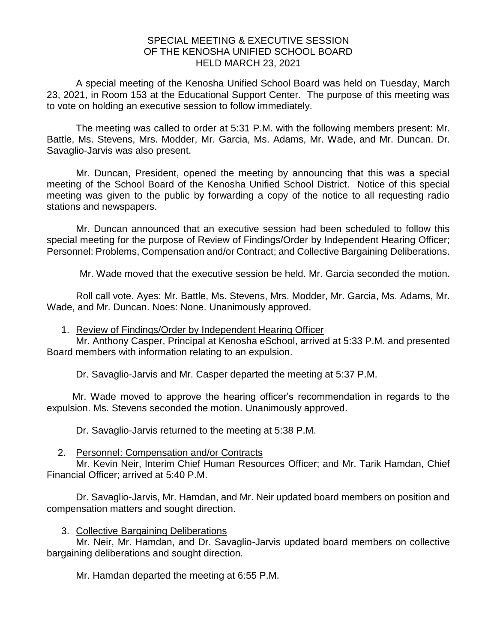## SPECIAL MEETING & EXECUTIVE SESSION OF THE KENOSHA UNIFIED SCHOOL BOARD HELD MARCH 23, 2021

A special meeting of the Kenosha Unified School Board was held on Tuesday, March 23, 2021, in Room 153 at the Educational Support Center. The purpose of this meeting was to vote on holding an executive session to follow immediately.

The meeting was called to order at 5:31 P.M. with the following members present: Mr. Battle, Ms. Stevens, Mrs. Modder, Mr. Garcia, Ms. Adams, Mr. Wade, and Mr. Duncan. Dr. Savaglio-Jarvis was also present.

Mr. Duncan, President, opened the meeting by announcing that this was a special meeting of the School Board of the Kenosha Unified School District. Notice of this special meeting was given to the public by forwarding a copy of the notice to all requesting radio stations and newspapers.

Mr. Duncan announced that an executive session had been scheduled to follow this special meeting for the purpose of Review of Findings/Order by Independent Hearing Officer; Personnel: Problems, Compensation and/or Contract; and Collective Bargaining Deliberations.

Mr. Wade moved that the executive session be held. Mr. Garcia seconded the motion.

Roll call vote. Ayes: Mr. Battle, Ms. Stevens, Mrs. Modder, Mr. Garcia, Ms. Adams, Mr. Wade, and Mr. Duncan. Noes: None. Unanimously approved.

1. Review of Findings/Order by Independent Hearing Officer

Mr. Anthony Casper, Principal at Kenosha eSchool, arrived at 5:33 P.M. and presented Board members with information relating to an expulsion.

Dr. Savaglio-Jarvis and Mr. Casper departed the meeting at 5:37 P.M.

Mr. Wade moved to approve the hearing officer's recommendation in regards to the expulsion. Ms. Stevens seconded the motion. Unanimously approved.

Dr. Savaglio-Jarvis returned to the meeting at 5:38 P.M.

## 2. Personnel: Compensation and/or Contracts

Mr. Kevin Neir, Interim Chief Human Resources Officer; and Mr. Tarik Hamdan, Chief Financial Officer; arrived at 5:40 P.M.

Dr. Savaglio-Jarvis, Mr. Hamdan, and Mr. Neir updated board members on position and compensation matters and sought direction.

3. Collective Bargaining Deliberations

Mr. Neir, Mr. Hamdan, and Dr. Savaglio-Jarvis updated board members on collective bargaining deliberations and sought direction.

Mr. Hamdan departed the meeting at 6:55 P.M.